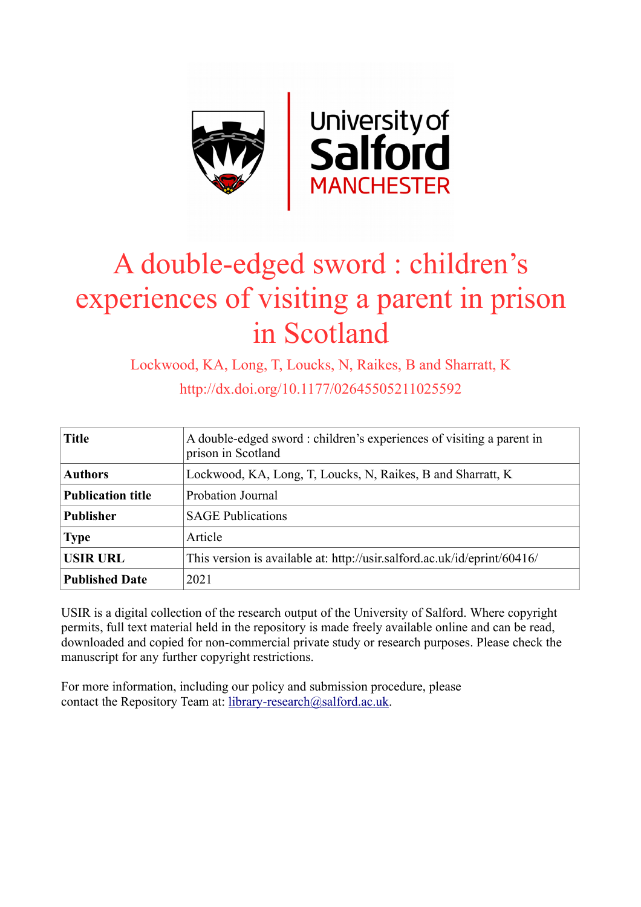

# A double-edged sword : children's experiences of visiting a parent in prison in Scotland

Lockwood, KA, Long, T, Loucks, N, Raikes, B and Sharratt, K http://dx.doi.org/10.1177/02645505211025592

| <b>Title</b>             | A double-edged sword: children's experiences of visiting a parent in<br>prison in Scotland |  |
|--------------------------|--------------------------------------------------------------------------------------------|--|
| <b>Authors</b>           | Lockwood, KA, Long, T, Loucks, N, Raikes, B and Sharratt, K                                |  |
| <b>Publication title</b> | Probation Journal                                                                          |  |
| <b>Publisher</b>         | <b>SAGE Publications</b>                                                                   |  |
| <b>Type</b>              | Article                                                                                    |  |
| <b>USIR URL</b>          | This version is available at: http://usir.salford.ac.uk/id/eprint/60416/                   |  |
| <b>Published Date</b>    | 2021                                                                                       |  |

USIR is a digital collection of the research output of the University of Salford. Where copyright permits, full text material held in the repository is made freely available online and can be read, downloaded and copied for non-commercial private study or research purposes. Please check the manuscript for any further copyright restrictions.

For more information, including our policy and submission procedure, please contact the Repository Team at: [library-research@salford.ac.uk.](mailto:library-research@salford.ac.uk)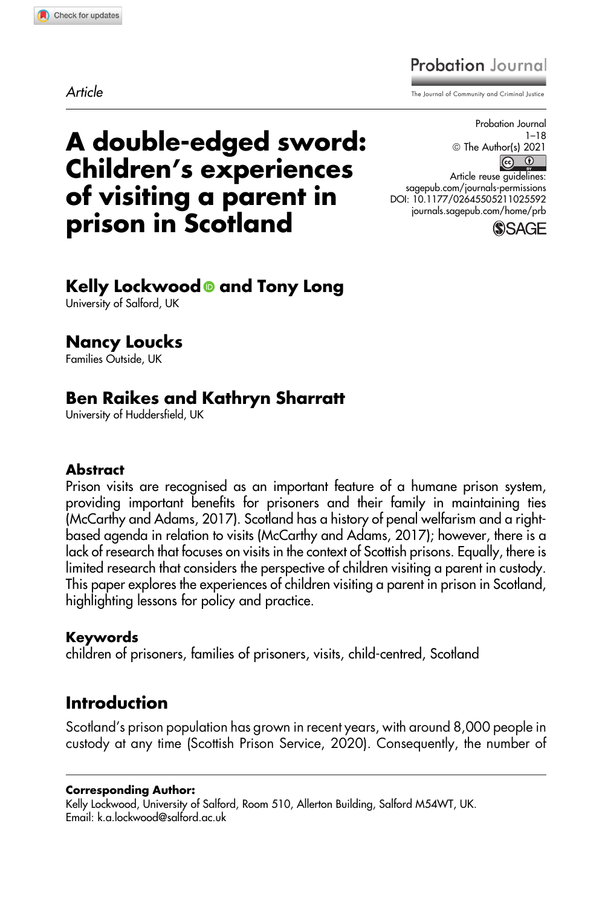**Article** 

# **Probation** Journal

The Journal of Community and Criminal Justi

# A double-edged sword: Children's experiences of visiting a parent in prison in Scotland

Probation Journal 1–18 <sup>©</sup> The Author(s) 2021  $\circ$   $\circ$ Article reuse guidelines: [sagepub.com/journals-permissions](https://sagepub.com/journals-permissions) [DOI: 10.1177/02645505211025592](https://doi.org/10.1177/02645505211025592) [journals.sagepub.com/home/prb](http://journals.sagepub.com/home/prb)



#### Kelly Lockwood<sup>®</sup> and Tony Long University of Salford, UK

#### Nancy Loucks

Families Outside, UK

# Ben Raikes and Kathryn Sharratt

University of Huddersfield, UK

#### **Abstract**

Prison visits are recognised as an important feature of a humane prison system, providing important benefits for prisoners and their family in maintaining ties (McCarthy and Adams, 2017). Scotland has a history of penal welfarism and a rightbased agenda in relation to visits (McCarthy and Adams, 2017); however, there is a lack of research that focuses on visits in the context of Scottish prisons. Equally, there is limited research that considers the perspective of children visiting a parent in custody. This paper explores the experiences of children visiting a parent in prison in Scotland, highlighting lessons for policy and practice.

#### Keywords

children of prisoners, families of prisoners, visits, child-centred, Scotland

# Introduction

Scotland's prison population has grown in recent years, with around 8,000 people in custody at any time (Scottish Prison Service, 2020). Consequently, the number of

#### Corresponding Author:

Kelly Lockwood, University of Salford, Room 510, Allerton Building, Salford M54WT, UK. Email: [k.a.lockwood@salford.ac.uk](mailto:k.a.lockwood@salford.ac.uk)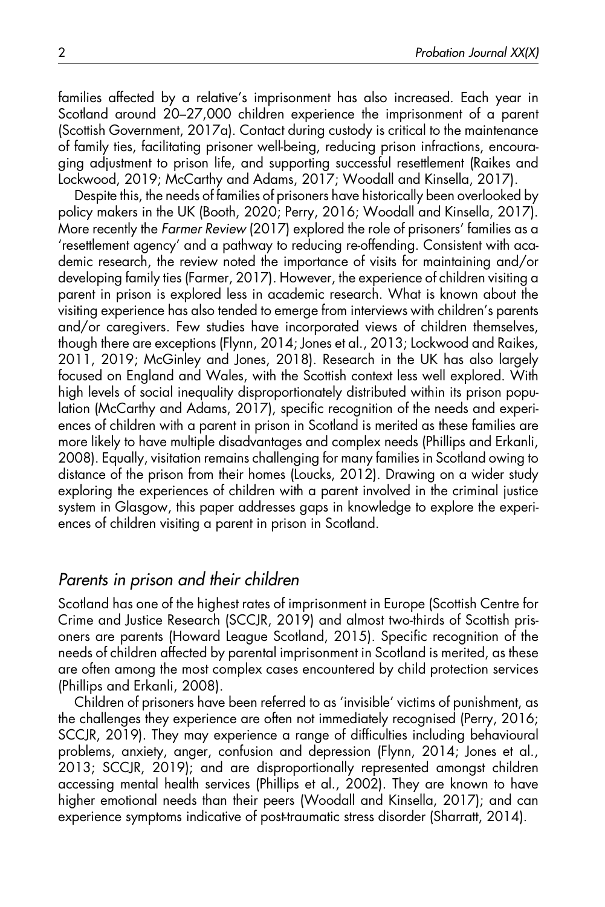families affected by a relative's imprisonment has also increased. Each year in Scotland around 20–27,000 children experience the imprisonment of a parent (Scottish Government, 2017a). Contact during custody is critical to the maintenance of family ties, facilitating prisoner well-being, reducing prison infractions, encouraging adjustment to prison life, and supporting successful resettlement (Raikes and Lockwood, 2019; McCarthy and Adams, 2017; Woodall and Kinsella, 2017).

Despite this, the needs of families of prisoners have historically been overlooked by policy makers in the UK (Booth, 2020; Perry, 2016; Woodall and Kinsella, 2017). More recently the Farmer Review (2017) explored the role of prisoners' families as a 'resettlement agency' and a pathway to reducing re-offending. Consistent with academic research, the review noted the importance of visits for maintaining and/or developing family ties (Farmer, 2017). However, the experience of children visiting a parent in prison is explored less in academic research. What is known about the visiting experience has also tended to emerge from interviews with children's parents and/or caregivers. Few studies have incorporated views of children themselves, though there are exceptions (Flynn, 2014; Jones et al., 2013; Lockwood and Raikes, 2011, 2019; McGinley and Jones, 2018). Research in the UK has also largely focused on England and Wales, with the Scottish context less well explored. With high levels of social inequality disproportionately distributed within its prison population (McCarthy and Adams, 2017), specific recognition of the needs and experiences of children with a parent in prison in Scotland is merited as these families are more likely to have multiple disadvantages and complex needs (Phillips and Erkanli, 2008). Equally, visitation remains challenging for many families in Scotland owing to distance of the prison from their homes (Loucks, 2012). Drawing on a wider study exploring the experiences of children with a parent involved in the criminal justice system in Glasgow, this paper addresses gaps in knowledge to explore the experiences of children visiting a parent in prison in Scotland.

#### Parents in prison and their children

Scotland has one of the highest rates of imprisonment in Europe (Scottish Centre for Crime and Justice Research (SCCJR, 2019) and almost two-thirds of Scottish prisoners are parents (Howard League Scotland, 2015). Specific recognition of the needs of children affected by parental imprisonment in Scotland is merited, as these are often among the most complex cases encountered by child protection services (Phillips and Erkanli, 2008).

Children of prisoners have been referred to as 'invisible' victims of punishment, as the challenges they experience are often not immediately recognised (Perry, 2016; SCCJR, 2019). They may experience a range of difficulties including behavioural problems, anxiety, anger, confusion and depression (Flynn, 2014; Jones et al., 2013; SCCJR, 2019); and are disproportionally represented amongst children accessing mental health services (Phillips et al., 2002). They are known to have higher emotional needs than their peers (Woodall and Kinsella, 2017); and can experience symptoms indicative of post-traumatic stress disorder (Sharratt, 2014).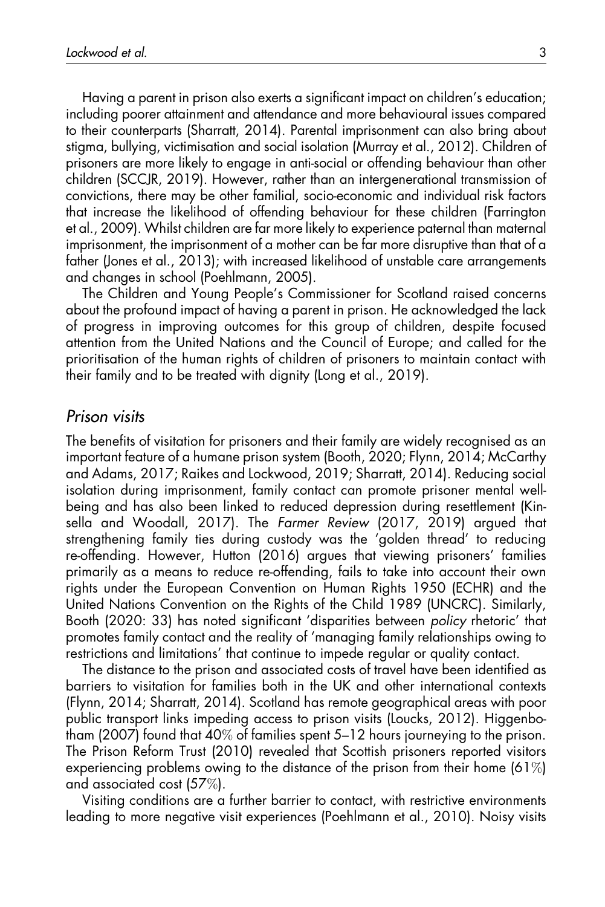Having a parent in prison also exerts a significant impact on children's education; including poorer attainment and attendance and more behavioural issues compared to their counterparts (Sharratt, 2014). Parental imprisonment can also bring about stigma, bullying, victimisation and social isolation (Murray et al., 2012). Children of prisoners are more likely to engage in anti-social or offending behaviour than other children (SCCJR, 2019). However, rather than an intergenerational transmission of convictions, there may be other familial, socio-economic and individual risk factors that increase the likelihood of offending behaviour for these children (Farrington et al., 2009). Whilst children are far more likely to experience paternal than maternal imprisonment, the imprisonment of a mother can be far more disruptive than that of a father (Jones et al., 2013); with increased likelihood of unstable care arrangements and changes in school (Poehlmann, 2005).

The Children and Young People's Commissioner for Scotland raised concerns about the profound impact of having a parent in prison. He acknowledged the lack of progress in improving outcomes for this group of children, despite focused attention from the United Nations and the Council of Europe; and called for the prioritisation of the human rights of children of prisoners to maintain contact with their family and to be treated with dignity (Long et al., 2019).

#### Prison visits

The benefits of visitation for prisoners and their family are widely recognised as an important feature of a humane prison system (Booth, 2020; Flynn, 2014; McCarthy and Adams, 2017; Raikes and Lockwood, 2019; Sharratt, 2014). Reducing social isolation during imprisonment, family contact can promote prisoner mental wellbeing and has also been linked to reduced depression during resettlement (Kinsella and Woodall, 2017). The Farmer Review (2017, 2019) argued that strengthening family ties during custody was the 'golden thread' to reducing re-offending. However, Hutton (2016) argues that viewing prisoners' families primarily as a means to reduce re-offending, fails to take into account their own rights under the European Convention on Human Rights 1950 (ECHR) and the United Nations Convention on the Rights of the Child 1989 (UNCRC). Similarly, Booth (2020: 33) has noted significant 'disparities between policy rhetoric' that promotes family contact and the reality of 'managing family relationships owing to restrictions and limitations' that continue to impede regular or quality contact.

The distance to the prison and associated costs of travel have been identified as barriers to visitation for families both in the UK and other international contexts (Flynn, 2014; Sharratt, 2014). Scotland has remote geographical areas with poor public transport links impeding access to prison visits (Loucks, 2012). Higgenbotham (2007) found that 40% of families spent 5–12 hours journeying to the prison. The Prison Reform Trust (2010) revealed that Scottish prisoners reported visitors experiencing problems owing to the distance of the prison from their home (61%) and associated cost (57%).

Visiting conditions are a further barrier to contact, with restrictive environments leading to more negative visit experiences (Poehlmann et al., 2010). Noisy visits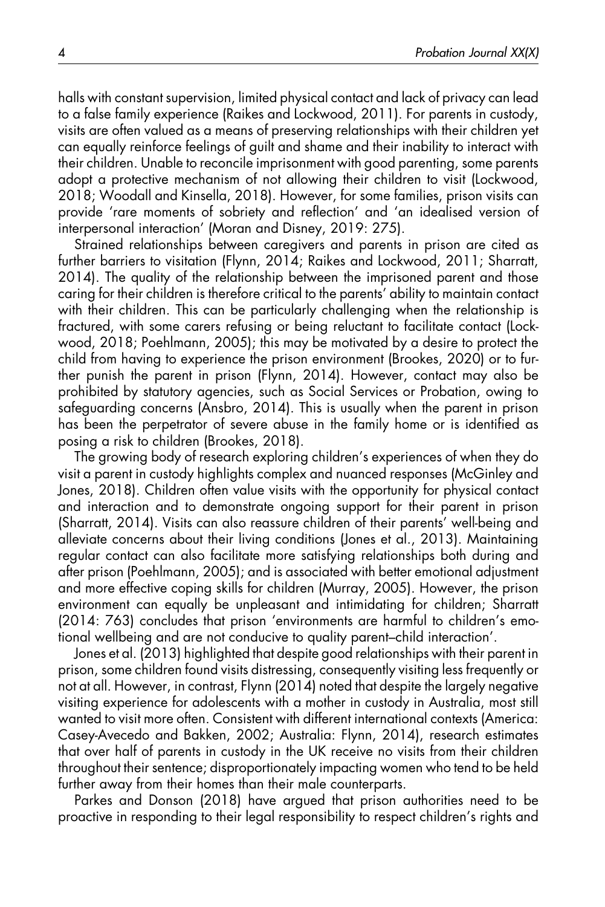halls with constant supervision, limited physical contact and lack of privacy can lead to a false family experience (Raikes and Lockwood, 2011). For parents in custody, visits are often valued as a means of preserving relationships with their children yet can equally reinforce feelings of guilt and shame and their inability to interact with their children. Unable to reconcile imprisonment with good parenting, some parents adopt a protective mechanism of not allowing their children to visit (Lockwood, 2018; Woodall and Kinsella, 2018). However, for some families, prison visits can provide 'rare moments of sobriety and reflection' and 'an idealised version of interpersonal interaction' (Moran and Disney, 2019: 275).

Strained relationships between caregivers and parents in prison are cited as further barriers to visitation (Flynn, 2014; Raikes and Lockwood, 2011; Sharratt, 2014). The quality of the relationship between the imprisoned parent and those caring for their children is therefore critical to the parents' ability to maintain contact with their children. This can be particularly challenging when the relationship is fractured, with some carers refusing or being reluctant to facilitate contact (Lockwood, 2018; Poehlmann, 2005); this may be motivated by a desire to protect the child from having to experience the prison environment (Brookes, 2020) or to further punish the parent in prison (Flynn, 2014). However, contact may also be prohibited by statutory agencies, such as Social Services or Probation, owing to safeguarding concerns (Ansbro, 2014). This is usually when the parent in prison has been the perpetrator of severe abuse in the family home or is identified as posing a risk to children (Brookes, 2018).

The growing body of research exploring children's experiences of when they do visit a parent in custody highlights complex and nuanced responses (McGinley and Jones, 2018). Children often value visits with the opportunity for physical contact and interaction and to demonstrate ongoing support for their parent in prison (Sharratt, 2014). Visits can also reassure children of their parents' well-being and alleviate concerns about their living conditions (Jones et al., 2013). Maintaining regular contact can also facilitate more satisfying relationships both during and after prison (Poehlmann, 2005); and is associated with better emotional adjustment and more effective coping skills for children (Murray, 2005). However, the prison environment can equally be unpleasant and intimidating for children; Sharratt (2014: 763) concludes that prison 'environments are harmful to children's emotional wellbeing and are not conducive to quality parent–child interaction'.

Jones et al. (2013) highlighted that despite good relationships with their parent in prison, some children found visits distressing, consequently visiting less frequently or not at all. However, in contrast, Flynn (2014) noted that despite the largely negative visiting experience for adolescents with a mother in custody in Australia, most still wanted to visit more often. Consistent with different international contexts (America: Casey-Avecedo and Bakken, 2002; Australia: Flynn, 2014), research estimates that over half of parents in custody in the UK receive no visits from their children throughout their sentence; disproportionately impacting women who tend to be held further away from their homes than their male counterparts.

Parkes and Donson (2018) have argued that prison authorities need to be proactive in responding to their legal responsibility to respect children's rights and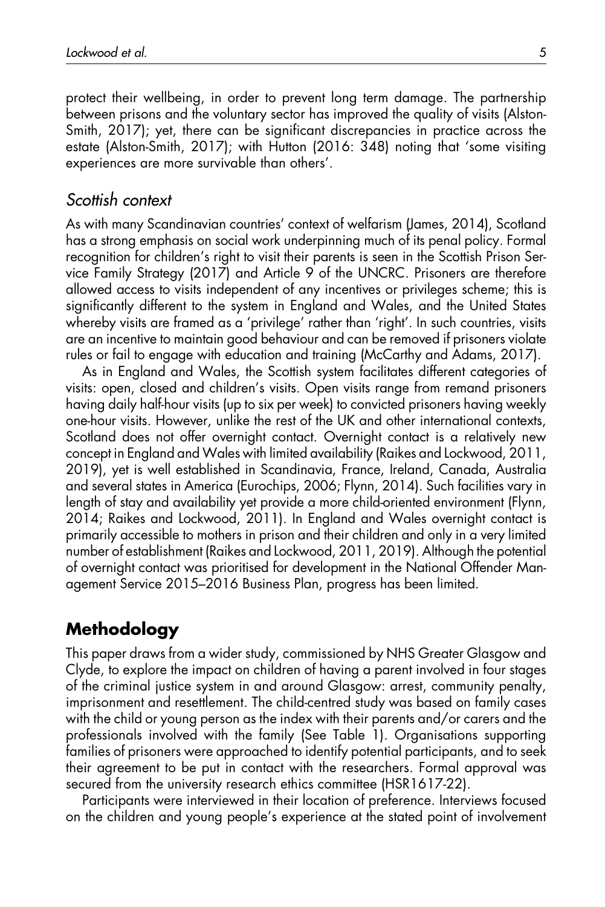protect their wellbeing, in order to prevent long term damage. The partnership between prisons and the voluntary sector has improved the quality of visits (Alston-Smith, 2017); yet, there can be significant discrepancies in practice across the estate (Alston-Smith, 2017); with Hutton (2016: 348) noting that 'some visiting experiences are more survivable than others'.

#### Scottish context

As with many Scandinavian countries' context of welfarism (James, 2014), Scotland has a strong emphasis on social work underpinning much of its penal policy. Formal recognition for children's right to visit their parents is seen in the Scottish Prison Service Family Strategy (2017) and Article 9 of the UNCRC. Prisoners are therefore allowed access to visits independent of any incentives or privileges scheme; this is significantly different to the system in England and Wales, and the United States whereby visits are framed as a 'privilege' rather than 'right'. In such countries, visits are an incentive to maintain good behaviour and can be removed if prisoners violate rules or fail to engage with education and training (McCarthy and Adams, 2017).

As in England and Wales, the Scottish system facilitates different categories of visits: open, closed and children's visits. Open visits range from remand prisoners having daily half-hour visits (up to six per week) to convicted prisoners having weekly one-hour visits. However, unlike the rest of the UK and other international contexts, Scotland does not offer overnight contact. Overnight contact is a relatively new concept in England and Wales with limited availability (Raikes and Lockwood, 2011, 2019), yet is well established in Scandinavia, France, Ireland, Canada, Australia and several states in America (Eurochips, 2006; Flynn, 2014). Such facilities vary in length of stay and availability yet provide a more child-oriented environment (Flynn, 2014; Raikes and Lockwood, 2011). In England and Wales overnight contact is primarily accessible to mothers in prison and their children and only in a very limited number of establishment (Raikes and Lockwood, 2011, 2019). Although the potential of overnight contact was prioritised for development in the National Offender Management Service 2015–2016 Business Plan, progress has been limited.

## Methodology

This paper draws from a wider study, commissioned by NHS Greater Glasgow and Clyde, to explore the impact on children of having a parent involved in four stages of the criminal justice system in and around Glasgow: arrest, community penalty, imprisonment and resettlement. The child-centred study was based on family cases with the child or young person as the index with their parents and/or carers and the professionals involved with the family (See Table 1). Organisations supporting families of prisoners were approached to identify potential participants, and to seek their agreement to be put in contact with the researchers. Formal approval was secured from the university research ethics committee (HSR1617-22).

Participants were interviewed in their location of preference. Interviews focused on the children and young people's experience at the stated point of involvement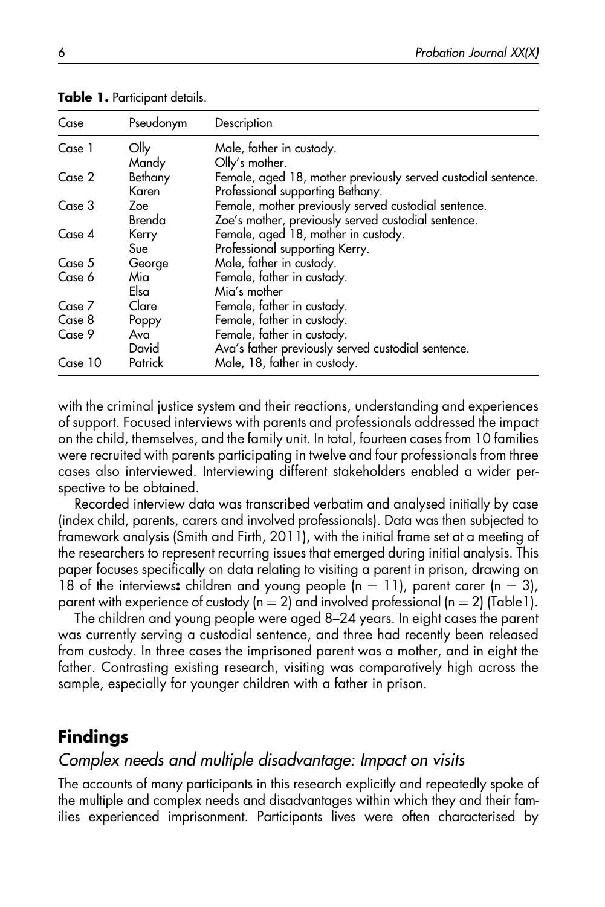| Case    | Pseudonym | Description                                                   |
|---------|-----------|---------------------------------------------------------------|
| Case 1  | Olly      | Male, father in custody.                                      |
|         | Mandy     | Olly's mother.                                                |
| Case 2  | Bethany   | Female, aged 18, mother previously served custodial sentence. |
|         | Karen     | Professional supporting Bethany.                              |
| Case 3  | Zoe       | Female, mother previously served custodial sentence.          |
|         | Brenda    | Zoe's mother, previously served custodial sentence.           |
| Case 4  | Kerry     | Female, aged 18, mother in custody.                           |
|         | Sue       | Professional supporting Kerry.                                |
| Case 5  | George    | Male, father in custody.                                      |
| Case 6  | Mia       | Female, father in custody.                                    |
|         | Elsa      | Mia's mother                                                  |
| Case 7  | Clare     | Female, father in custody.                                    |
| Case 8  | Poppy     | Female, father in custody.                                    |
| Case 9  | Ava       | Female, father in custody.                                    |
|         | David     | Ava's father previously served custodial sentence.            |
| Case 10 | Patrick   | Male, 18, father in custody.                                  |

Table 1. Participant details.

with the criminal justice system and their reactions, understanding and experiences of support. Focused interviews with parents and professionals addressed the impact on the child, themselves, and the family unit. In total, fourteen cases from 10 families were recruited with parents participating in twelve and four professionals from three cases also interviewed. Interviewing different stakeholders enabled a wider perspective to be obtained.

Recorded interview data was transcribed verbatim and analysed initially by case (index child, parents, carers and involved professionals). Data was then subjected to framework analysis (Smith and Firth, 2011), with the initial frame set at a meeting of the researchers to represent recurring issues that emerged during initial analysis. This paper focuses specifically on data relating to visiting a parent in prison, drawing on 18 of the interviews: children and young people (n = 11), parent carer (n = 3), parent with experience of custody (n = 2) and involved professional (n = 2) (Table1).

The children and young people were aged 8–24 years. In eight cases the parent was currently serving a custodial sentence, and three had recently been released from custody. In three cases the imprisoned parent was a mother, and in eight the father. Contrasting existing research, visiting was comparatively high across the sample, especially for younger children with a father in prison.

## Findings

#### Complex needs and multiple disadvantage: Impact on visits

The accounts of many participants in this research explicitly and repeatedly spoke of the multiple and complex needs and disadvantages within which they and their families experienced imprisonment. Participants lives were often characterised by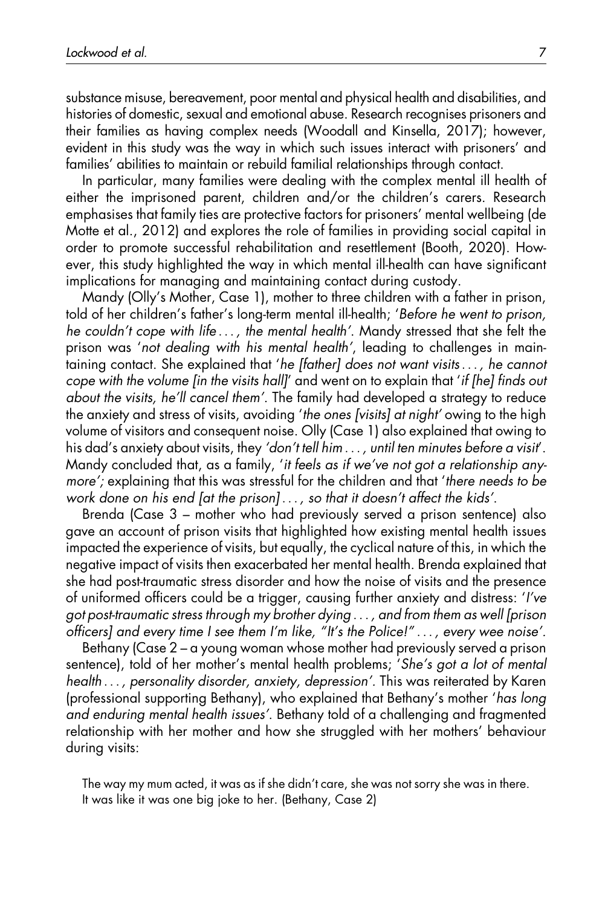substance misuse, bereavement, poor mental and physical health and disabilities, and histories of domestic, sexual and emotional abuse. Research recognises prisoners and their families as having complex needs (Woodall and Kinsella, 2017); however, evident in this study was the way in which such issues interact with prisoners' and families' abilities to maintain or rebuild familial relationships through contact.

In particular, many families were dealing with the complex mental ill health of either the imprisoned parent, children and/or the children's carers. Research emphasises that family ties are protective factors for prisoners' mental wellbeing (de Motte et al., 2012) and explores the role of families in providing social capital in order to promote successful rehabilitation and resettlement (Booth, 2020). However, this study highlighted the way in which mental ill-health can have significant implications for managing and maintaining contact during custody.

Mandy (Olly's Mother, Case 1), mother to three children with a father in prison, told of her children's father's long-term mental ill-health; 'Before he went to prison, he couldn't cope with life ... , the mental health'. Mandy stressed that she felt the prison was 'not dealing with his mental health', leading to challenges in maintaining contact. She explained that 'he [father] does not want visits... , he cannot cope with the volume [in the visits hall]' and went on to explain that 'if [he] finds out about the visits, he'll cancel them'. The family had developed a strategy to reduce the anxiety and stress of visits, avoiding 'the ones [visits] at night' owing to the high volume of visitors and consequent noise. Olly (Case 1) also explained that owing to his dad's anxiety about visits, they 'don't tell him ... , until ten minutes before a visit'. Mandy concluded that, as a family, 'it feels as if we've not got a relationship anymore'; explaining that this was stressful for the children and that 'there needs to be work done on his end [at the prison] ... , so that it doesn't affect the kids'.

Brenda (Case 3 – mother who had previously served a prison sentence) also gave an account of prison visits that highlighted how existing mental health issues impacted the experience of visits, but equally, the cyclical nature of this, in which the negative impact of visits then exacerbated her mental health. Brenda explained that she had post-traumatic stress disorder and how the noise of visits and the presence of uniformed officers could be a trigger, causing further anxiety and distress: 'I've got post-traumatic stress through my brother dying ... , and from them as well [prison officers] and every time I see them I'm like, "It's the Police!" ... , every wee noise'.

Bethany (Case 2 – a young woman whose mother had previously served a prison sentence), told of her mother's mental health problems; 'She's got a lot of mental health ... , personality disorder, anxiety, depression'. This was reiterated by Karen (professional supporting Bethany), who explained that Bethany's mother 'has long and enduring mental health issues'. Bethany told of a challenging and fragmented relationship with her mother and how she struggled with her mothers' behaviour during visits:

The way my mum acted, it was as if she didn't care, she was not sorry she was in there. It was like it was one big joke to her. (Bethany, Case 2)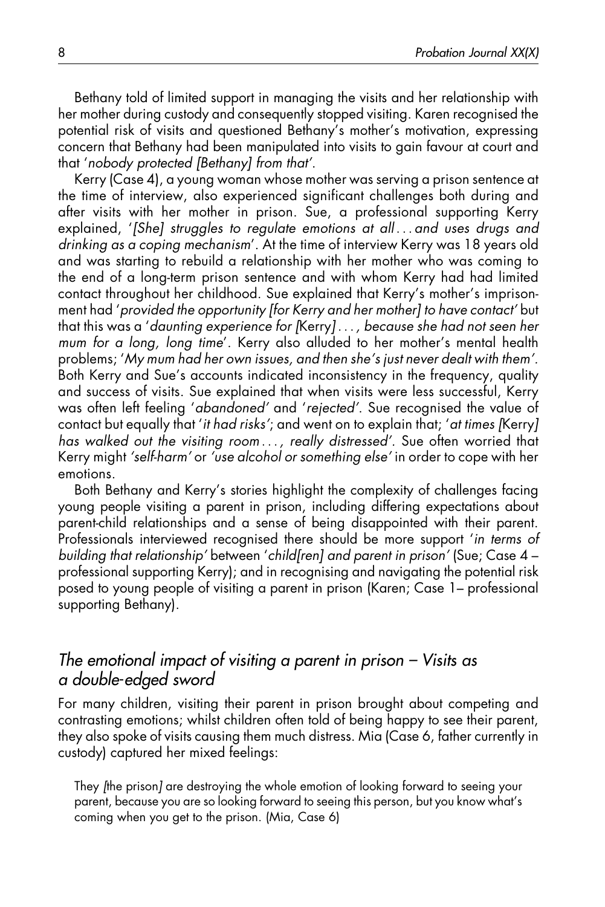Bethany told of limited support in managing the visits and her relationship with her mother during custody and consequently stopped visiting. Karen recognised the potential risk of visits and questioned Bethany's mother's motivation, expressing concern that Bethany had been manipulated into visits to gain favour at court and that 'nobody protected [Bethany] from that'.

Kerry (Case 4), a young woman whose mother was serving a prison sentence at the time of interview, also experienced significant challenges both during and after visits with her mother in prison. Sue, a professional supporting Kerry explained, '[She] struggles to regulate emotions at all ... and uses drugs and drinking as a coping mechanism'. At the time of interview Kerry was 18 years old and was starting to rebuild a relationship with her mother who was coming to the end of a long-term prison sentence and with whom Kerry had had limited contact throughout her childhood. Sue explained that Kerry's mother's imprisonment had 'provided the opportunity [for Kerry and her mother] to have contact' but that this was a 'daunting experience for [Kerry] ... , because she had not seen her mum for a long, long time'. Kerry also alluded to her mother's mental health problems; 'My mum had her own issues, and then she's just never dealt with them'. Both Kerry and Sue's accounts indicated inconsistency in the frequency, quality and success of visits. Sue explained that when visits were less successful, Kerry was often left feeling 'abandoned' and 'rejected'. Sue recognised the value of contact but equally that 'it had risks'; and went on to explain that; 'at times [Kerry] has walked out the visiting room ... , really distressed'. Sue often worried that Kerry might 'self-harm' or 'use alcohol or something else' in order to cope with her emotions.

Both Bethany and Kerry's stories highlight the complexity of challenges facing young people visiting a parent in prison, including differing expectations about parent-child relationships and a sense of being disappointed with their parent. Professionals interviewed recognised there should be more support 'in terms of building that relationship' between 'child[ren] and parent in prison' (Sue; Case 4 – professional supporting Kerry); and in recognising and navigating the potential risk posed to young people of visiting a parent in prison (Karen; Case 1– professional supporting Bethany).

#### The emotional impact of visiting a parent in prison – Visits as a double-edged sword

For many children, visiting their parent in prison brought about competing and contrasting emotions; whilst children often told of being happy to see their parent, they also spoke of visits causing them much distress. Mia (Case 6, father currently in custody) captured her mixed feelings:

They [the prison] are destroying the whole emotion of looking forward to seeing your parent, because you are so looking forward to seeing this person, but you know what's coming when you get to the prison. (Mia, Case 6)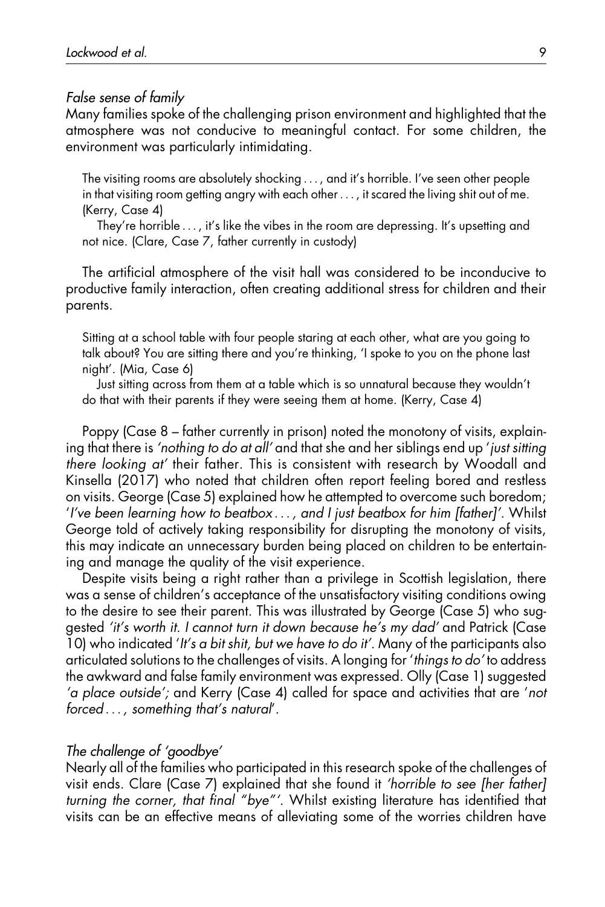#### False sense of family

Many families spoke of the challenging prison environment and highlighted that the atmosphere was not conducive to meaningful contact. For some children, the environment was particularly intimidating.

The visiting rooms are absolutely shocking ... , and it's horrible. I've seen other people in that visiting room getting angry with each other ... , it scared the living shit out of me. (Kerry, Case 4)

They're horrible ... , it's like the vibes in the room are depressing. It's upsetting and not nice. (Clare, Case 7, father currently in custody)

The artificial atmosphere of the visit hall was considered to be inconducive to productive family interaction, often creating additional stress for children and their parents.

Sitting at a school table with four people staring at each other, what are you going to talk about? You are sitting there and you're thinking, 'I spoke to you on the phone last night'. (Mia, Case 6)

Just sitting across from them at a table which is so unnatural because they wouldn't do that with their parents if they were seeing them at home. (Kerry, Case 4)

Poppy (Case 8 – father currently in prison) noted the monotony of visits, explaining that there is 'nothing to do at all' and that she and her siblings end up 'just sitting there looking at' their father. This is consistent with research by Woodall and Kinsella (2017) who noted that children often report feeling bored and restless on visits. George (Case 5) explained how he attempted to overcome such boredom; 'I've been learning how to beatbox ... , and I just beatbox for him [father]'. Whilst George told of actively taking responsibility for disrupting the monotony of visits, this may indicate an unnecessary burden being placed on children to be entertaining and manage the quality of the visit experience.

Despite visits being a right rather than a privilege in Scottish legislation, there was a sense of children's acceptance of the unsatisfactory visiting conditions owing to the desire to see their parent. This was illustrated by George (Case 5) who suggested 'it's worth it. I cannot turn it down because he's my dad' and Patrick (Case 10) who indicated 'It's a bit shit, but we have to do it'. Many of the participants also articulated solutions to the challenges of visits. A longing for 'things to do' to address the awkward and false family environment was expressed. Olly (Case 1) suggested 'a place outside'; and Kerry (Case 4) called for space and activities that are 'not forced ... , something that's natural'.

#### The challenge of 'goodbye'

Nearly all of the families who participated in this research spoke of the challenges of visit ends. Clare (Case 7) explained that she found it 'horrible to see [her father] turning the corner, that final "bye"'. Whilst existing literature has identified that visits can be an effective means of alleviating some of the worries children have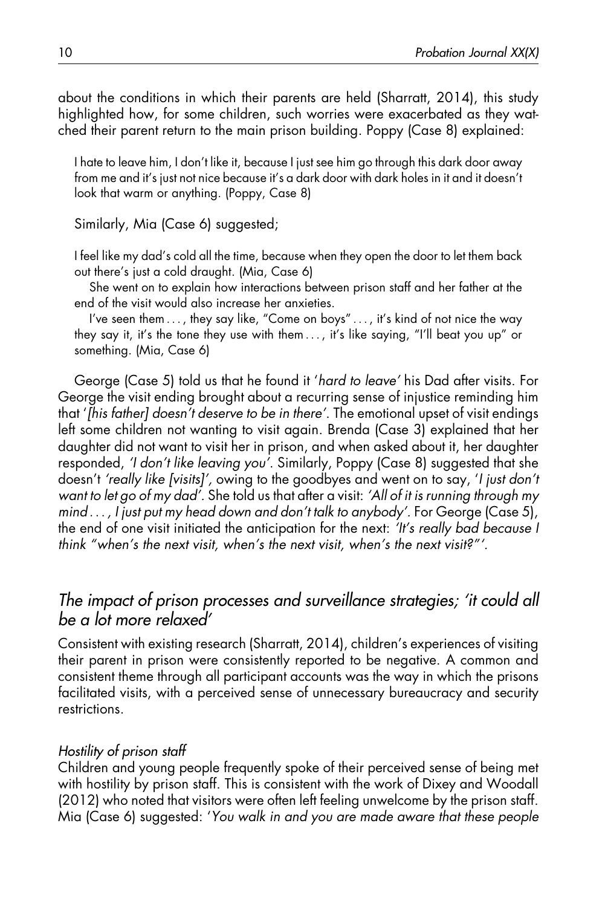about the conditions in which their parents are held (Sharratt, 2014), this study highlighted how, for some children, such worries were exacerbated as they watched their parent return to the main prison building. Poppy (Case 8) explained:

I hate to leave him, I don't like it, because I just see him go through this dark door away from me and it's just not nice because it's a dark door with dark holes in it and it doesn't look that warm or anything. (Poppy, Case 8)

Similarly, Mia (Case 6) suggested;

I feel like my dad's cold all the time, because when they open the door to let them back out there's just a cold draught. (Mia, Case 6)

She went on to explain how interactions between prison staff and her father at the end of the visit would also increase her anxieties.

I've seen them ..., they say like, "Come on boys" ..., it's kind of not nice the way they say it, it's the tone they use with them ... , it's like saying, "I'll beat you up" or something. (Mia, Case 6)

George (Case 5) told us that he found it 'hard to leave' his Dad after visits. For George the visit ending brought about a recurring sense of injustice reminding him that '[his father] doesn't deserve to be in there'. The emotional upset of visit endings left some children not wanting to visit again. Brenda (Case 3) explained that her daughter did not want to visit her in prison, and when asked about it, her daughter responded, 'I don't like leaving you'. Similarly, Poppy (Case 8) suggested that she doesn't 'really like [visits]', owing to the goodbyes and went on to say, 'I just don't want to let go of my dad'. She told us that after a visit: 'All of it is running through my mind ... , I just put my head down and don't talk to anybody'. For George (Case 5), the end of one visit initiated the anticipation for the next: 'It's really bad because I think "when's the next visit, when's the next visit, when's the next visit?"'.

#### The impact of prison processes and surveillance strategies; 'it could all be a lot more relaxed'

Consistent with existing research (Sharratt, 2014), children's experiences of visiting their parent in prison were consistently reported to be negative. A common and consistent theme through all participant accounts was the way in which the prisons facilitated visits, with a perceived sense of unnecessary bureaucracy and security restrictions.

#### Hostility of prison staff

Children and young people frequently spoke of their perceived sense of being met with hostility by prison staff. This is consistent with the work of Dixey and Woodall (2012) who noted that visitors were often left feeling unwelcome by the prison staff. Mia (Case 6) suggested: 'You walk in and you are made aware that these people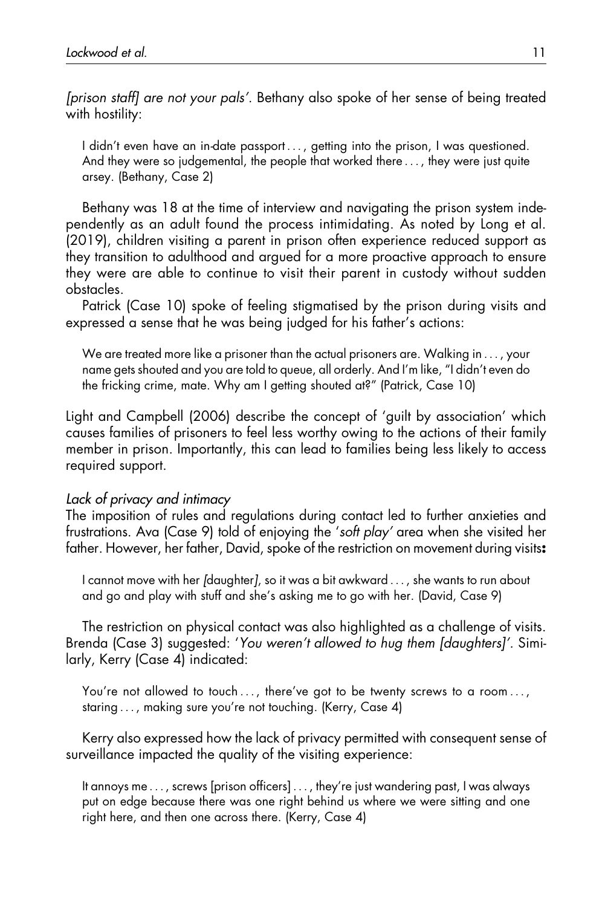[prison staff] are not your pals'. Bethany also spoke of her sense of being treated with hostility:

I didn't even have an in-date passport ... , getting into the prison, I was questioned. And they were so judgemental, the people that worked there ... , they were just quite arsey. (Bethany, Case 2)

Bethany was 18 at the time of interview and navigating the prison system independently as an adult found the process intimidating. As noted by Long et al. (2019), children visiting a parent in prison often experience reduced support as they transition to adulthood and argued for a more proactive approach to ensure they were are able to continue to visit their parent in custody without sudden obstacles.

Patrick (Case 10) spoke of feeling stigmatised by the prison during visits and expressed a sense that he was being judged for his father's actions:

We are treated more like a prisoner than the actual prisoners are. Walking in ... , your name gets shouted and you are told to queue, all orderly. And I'm like, "I didn't even do the fricking crime, mate. Why am I getting shouted at?" (Patrick, Case 10)

Light and Campbell (2006) describe the concept of 'guilt by association' which causes families of prisoners to feel less worthy owing to the actions of their family member in prison. Importantly, this can lead to families being less likely to access required support.

#### Lack of privacy and intimacy

The imposition of rules and regulations during contact led to further anxieties and frustrations. Ava (Case 9) told of enjoying the 'soft play' area when she visited her father. However, her father, David, spoke of the restriction on movement during visits:

I cannot move with her [daughter], so it was a bit awkward ... , she wants to run about and go and play with stuff and she's asking me to go with her. (David, Case 9)

The restriction on physical contact was also highlighted as a challenge of visits. Brenda (Case 3) suggested: 'You weren't allowed to hug them [daughters]'. Similarly, Kerry (Case 4) indicated:

You're not allowed to touch ..., there've got to be twenty screws to a room ..., staring ... , making sure you're not touching. (Kerry, Case 4)

Kerry also expressed how the lack of privacy permitted with consequent sense of surveillance impacted the quality of the visiting experience:

It annoys me ... , screws [prison officers] ... , they're just wandering past, I was always put on edge because there was one right behind us where we were sitting and one right here, and then one across there. (Kerry, Case 4)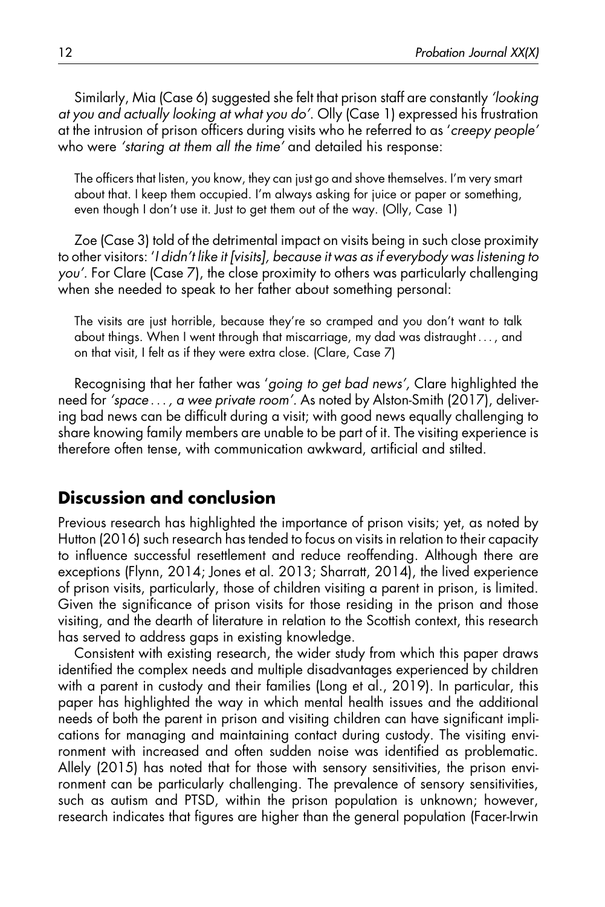Similarly, Mia (Case 6) suggested she felt that prison staff are constantly 'looking at you and actually looking at what you do'. Olly (Case 1) expressed his frustration at the intrusion of prison officers during visits who he referred to as 'creepy people' who were 'staring at them all the time' and detailed his response:

The officers that listen, you know, they can just go and shove themselves. I'm very smart about that. I keep them occupied. I'm always asking for juice or paper or something, even though I don't use it. Just to get them out of the way. (Olly, Case 1)

Zoe (Case 3) told of the detrimental impact on visits being in such close proximity to other visitors: 'I didn't like it [visits], because it was as if everybody was listening to you'. For Clare (Case 7), the close proximity to others was particularly challenging when she needed to speak to her father about something personal:

The visits are just horrible, because they're so cramped and you don't want to talk about things. When I went through that miscarriage, my dad was distraught ... , and on that visit, I felt as if they were extra close. (Clare, Case 7)

Recognising that her father was 'going to get bad news', Clare highlighted the need for 'space ... , a wee private room'. As noted by Alston-Smith (2017), delivering bad news can be difficult during a visit; with good news equally challenging to share knowing family members are unable to be part of it. The visiting experience is therefore often tense, with communication awkward, artificial and stilted.

#### Discussion and conclusion

Previous research has highlighted the importance of prison visits; yet, as noted by Hutton (2016) such research has tended to focus on visits in relation to their capacity to influence successful resettlement and reduce reoffending. Although there are exceptions (Flynn, 2014; Jones et al. 2013; Sharratt, 2014), the lived experience of prison visits, particularly, those of children visiting a parent in prison, is limited. Given the significance of prison visits for those residing in the prison and those visiting, and the dearth of literature in relation to the Scottish context, this research has served to address gaps in existing knowledge.

Consistent with existing research, the wider study from which this paper draws identified the complex needs and multiple disadvantages experienced by children with a parent in custody and their families (Long et al., 2019). In particular, this paper has highlighted the way in which mental health issues and the additional needs of both the parent in prison and visiting children can have significant implications for managing and maintaining contact during custody. The visiting environment with increased and often sudden noise was identified as problematic. Allely (2015) has noted that for those with sensory sensitivities, the prison environment can be particularly challenging. The prevalence of sensory sensitivities, such as autism and PTSD, within the prison population is unknown; however, research indicates that figures are higher than the general population (Facer-Irwin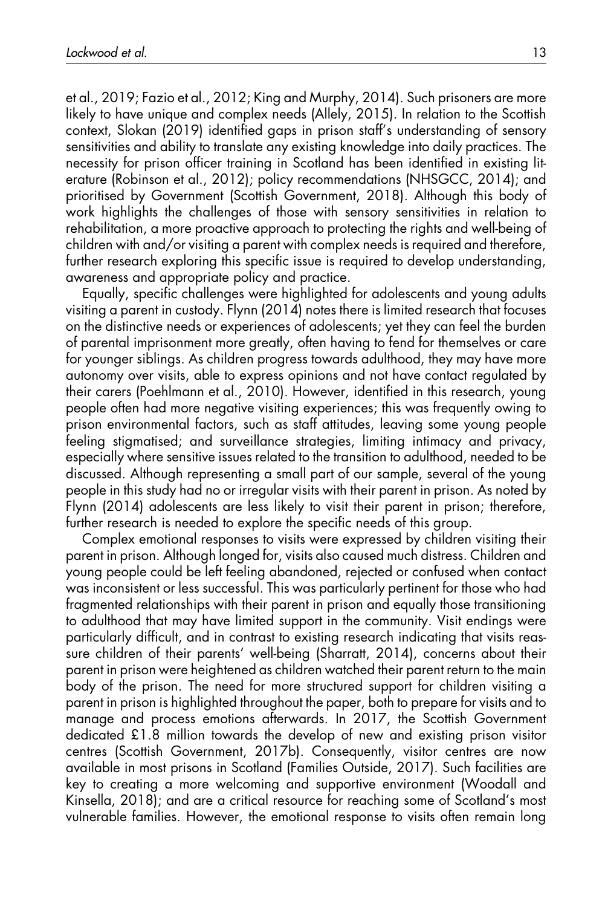et al., 2019; Fazio et al., 2012; King and Murphy, 2014). Such prisoners are more likely to have unique and complex needs (Allely, 2015). In relation to the Scottish context, Slokan (2019) identified gaps in prison staff's understanding of sensory sensitivities and ability to translate any existing knowledge into daily practices. The necessity for prison officer training in Scotland has been identified in existing literature (Robinson et al., 2012); policy recommendations (NHSGCC, 2014); and prioritised by Government (Scottish Government, 2018). Although this body of work highlights the challenges of those with sensory sensitivities in relation to rehabilitation, a more proactive approach to protecting the rights and well-being of children with and/or visiting a parent with complex needs is required and therefore, further research exploring this specific issue is required to develop understanding, awareness and appropriate policy and practice.

Equally, specific challenges were highlighted for adolescents and young adults visiting a parent in custody. Flynn (2014) notes there is limited research that focuses on the distinctive needs or experiences of adolescents; yet they can feel the burden of parental imprisonment more greatly, often having to fend for themselves or care for younger siblings. As children progress towards adulthood, they may have more autonomy over visits, able to express opinions and not have contact regulated by their carers (Poehlmann et al., 2010). However, identified in this research, young people often had more negative visiting experiences; this was frequently owing to prison environmental factors, such as staff attitudes, leaving some young people feeling stigmatised; and surveillance strategies, limiting intimacy and privacy, especially where sensitive issues related to the transition to adulthood, needed to be discussed. Although representing a small part of our sample, several of the young people in this study had no or irregular visits with their parent in prison. As noted by Flynn (2014) adolescents are less likely to visit their parent in prison; therefore, further research is needed to explore the specific needs of this group.

Complex emotional responses to visits were expressed by children visiting their parent in prison. Although longed for, visits also caused much distress. Children and young people could be left feeling abandoned, rejected or confused when contact was inconsistent or less successful. This was particularly pertinent for those who had fragmented relationships with their parent in prison and equally those transitioning to adulthood that may have limited support in the community. Visit endings were particularly difficult, and in contrast to existing research indicating that visits reassure children of their parents' well-being (Sharratt, 2014), concerns about their parent in prison were heightened as children watched their parent return to the main body of the prison. The need for more structured support for children visiting a parent in prison is highlighted throughout the paper, both to prepare for visits and to manage and process emotions afterwards. In 2017, the Scottish Government dedicated £1.8 million towards the develop of new and existing prison visitor centres (Scottish Government, 2017b). Consequently, visitor centres are now available in most prisons in Scotland (Families Outside, 2017). Such facilities are key to creating a more welcoming and supportive environment (Woodall and Kinsella, 2018); and are a critical resource for reaching some of Scotland's most vulnerable families. However, the emotional response to visits often remain long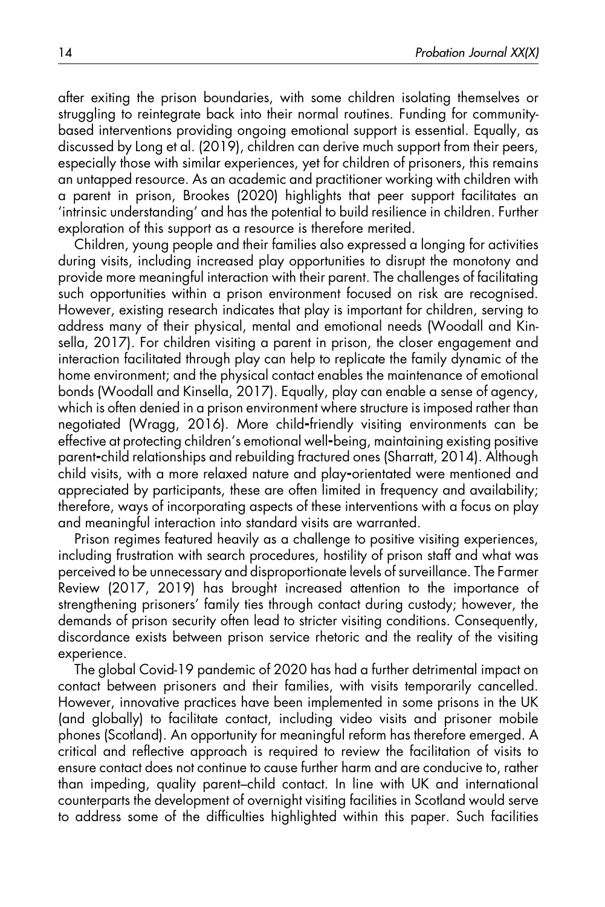after exiting the prison boundaries, with some children isolating themselves or struggling to reintegrate back into their normal routines. Funding for communitybased interventions providing ongoing emotional support is essential. Equally, as discussed by Long et al. (2019), children can derive much support from their peers, especially those with similar experiences, yet for children of prisoners, this remains an untapped resource. As an academic and practitioner working with children with a parent in prison, Brookes (2020) highlights that peer support facilitates an 'intrinsic understanding' and has the potential to build resilience in children. Further exploration of this support as a resource is therefore merited.

Children, young people and their families also expressed a longing for activities during visits, including increased play opportunities to disrupt the monotony and provide more meaningful interaction with their parent. The challenges of facilitating such opportunities within a prison environment focused on risk are recognised. However, existing research indicates that play is important for children, serving to address many of their physical, mental and emotional needs (Woodall and Kinsella, 2017). For children visiting a parent in prison, the closer engagement and interaction facilitated through play can help to replicate the family dynamic of the home environment; and the physical contact enables the maintenance of emotional bonds (Woodall and Kinsella, 2017). Equally, play can enable a sense of agency, which is often denied in a prison environment where structure is imposed rather than negotiated (Wragg, 2016). More child-friendly visiting environments can be effective at protecting children's emotional well-being, maintaining existing positive parent-child relationships and rebuilding fractured ones (Sharratt, 2014). Although child visits, with a more relaxed nature and play-orientated were mentioned and appreciated by participants, these are often limited in frequency and availability; therefore, ways of incorporating aspects of these interventions with a focus on play and meaningful interaction into standard visits are warranted.

Prison regimes featured heavily as a challenge to positive visiting experiences, including frustration with search procedures, hostility of prison staff and what was perceived to be unnecessary and disproportionate levels of surveillance. The Farmer Review (2017, 2019) has brought increased attention to the importance of strengthening prisoners' family ties through contact during custody; however, the demands of prison security often lead to stricter visiting conditions. Consequently, discordance exists between prison service rhetoric and the reality of the visiting experience.

The global Covid-19 pandemic of 2020 has had a further detrimental impact on contact between prisoners and their families, with visits temporarily cancelled. However, innovative practices have been implemented in some prisons in the UK (and globally) to facilitate contact, including video visits and prisoner mobile phones (Scotland). An opportunity for meaningful reform has therefore emerged. A critical and reflective approach is required to review the facilitation of visits to ensure contact does not continue to cause further harm and are conducive to, rather than impeding, quality parent–child contact. In line with UK and international counterparts the development of overnight visiting facilities in Scotland would serve to address some of the difficulties highlighted within this paper. Such facilities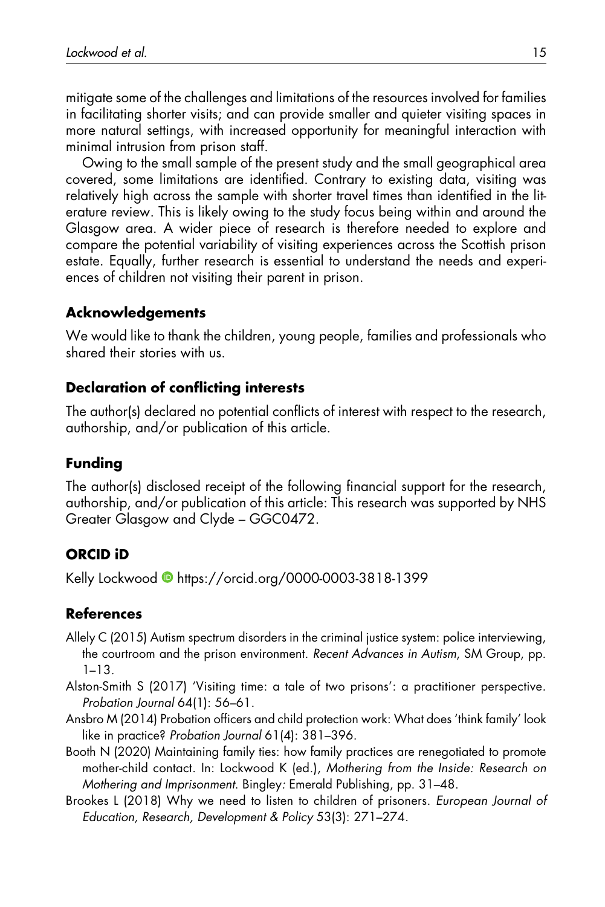mitigate some of the challenges and limitations of the resources involved for families in facilitating shorter visits; and can provide smaller and quieter visiting spaces in more natural settings, with increased opportunity for meaningful interaction with minimal intrusion from prison staff.

Owing to the small sample of the present study and the small geographical area covered, some limitations are identified. Contrary to existing data, visiting was relatively high across the sample with shorter travel times than identified in the literature review. This is likely owing to the study focus being within and around the Glasgow area. A wider piece of research is therefore needed to explore and compare the potential variability of visiting experiences across the Scottish prison estate. Equally, further research is essential to understand the needs and experiences of children not visiting their parent in prison.

#### Acknowledgements

We would like to thank the children, young people, families and professionals who shared their stories with us.

#### Declaration of conflicting interests

The author(s) declared no potential conflicts of interest with respect to the research, authorship, and/or publication of this article.

#### Funding

The author(s) disclosed receipt of the following financial support for the research, authorship, and/or publication of this article: This research was supported by NHS Greater Glasgow and Clyde – GGC0472.

#### ORCID iD

Kelly Lockwood **b** <https://orcid.org/0000-0003-3818-1399>

#### References

- Allely C (2015) Autism spectrum disorders in the criminal justice system: police interviewing, the courtroom and the prison environment. Recent Advances in Autism, SM Group, pp. 1–13.
- Alston-Smith S (2017) 'Visiting time: a tale of two prisons': a practitioner perspective. Probation Journal 64(1): 56–61.
- Ansbro M (2014) Probation officers and child protection work: What does 'think family' look like in practice? Probation Journal 61(4): 381–396.
- Booth N (2020) Maintaining family ties: how family practices are renegotiated to promote mother-child contact. In: Lockwood K (ed.), Mothering from the Inside: Research on Mothering and Imprisonment. Bingley: Emerald Publishing, pp. 31–48.
- Brookes L (2018) Why we need to listen to children of prisoners. European Journal of Education, Research, Development & Policy 53(3): 271–274.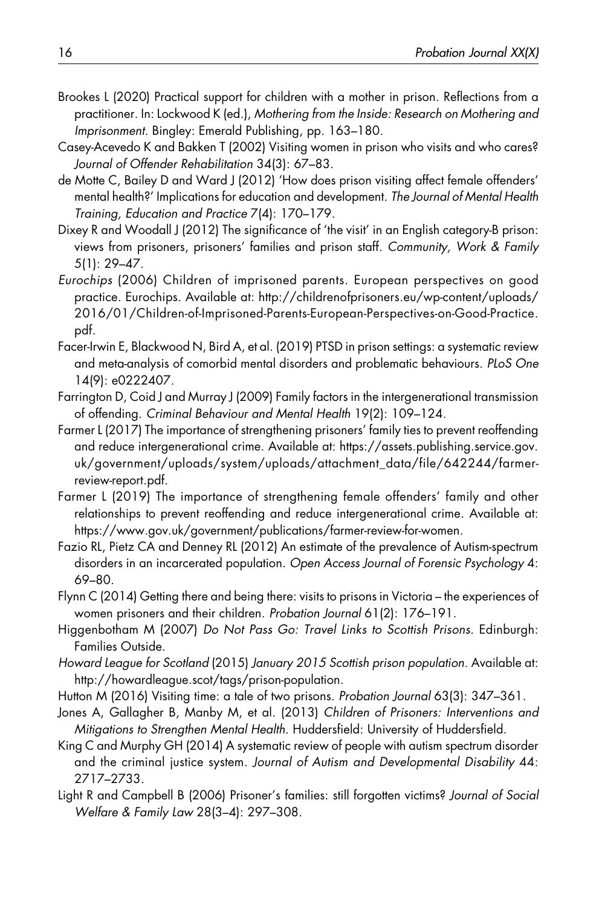- Brookes L (2020) Practical support for children with a mother in prison. Reflections from a practitioner. In: Lockwood K (ed.), Mothering from the Inside: Research on Mothering and Imprisonment. Bingley: Emerald Publishing, pp. 163–180.
- Casey-Acevedo K and Bakken T (2002) Visiting women in prison who visits and who cares? Journal of Offender Rehabilitation 34(3): 67–83.
- de Motte C, Bailey D and Ward J (2012) 'How does prison visiting affect female offenders' mental health?' Implications for education and development. The Journal of Mental Health Training, Education and Practice 7(4): 170–179.
- Dixey R and Woodall J (2012) The significance of 'the visit' in an English category-B prison: views from prisoners, prisoners' families and prison staff. Community, Work & Family 5(1): 29–47.
- Eurochips (2006) Children of imprisoned parents. European perspectives on good practice. Eurochips. Available at: [http://childrenofprisoners.eu/wp-content/uploads/](http://childrenofprisoners.eu/wp-content/uploads/2016/01/Children-of-Imprisoned-Parents-European-Perspectives-on-Good-Practice.pdf) [2016/01/Children-of-Imprisoned-Parents-European-Perspectives-on-Good-Practice.](http://childrenofprisoners.eu/wp-content/uploads/2016/01/Children-of-Imprisoned-Parents-European-Perspectives-on-Good-Practice.pdf) [pdf](http://childrenofprisoners.eu/wp-content/uploads/2016/01/Children-of-Imprisoned-Parents-European-Perspectives-on-Good-Practice.pdf).
- Facer-Irwin E, Blackwood N, Bird A, et al. (2019) PTSD in prison settings: a systematic review and meta-analysis of comorbid mental disorders and problematic behaviours. PLoS One 14(9): e0222407.
- Farrington D, Coid J and Murray J (2009) Family factors in the intergenerational transmission of offending. Criminal Behaviour and Mental Health 19(2): 109–124.
- Farmer L (2017) The importance of strengthening prisoners' family ties to prevent reoffending and reduce intergenerational crime. Available at: [https://assets.publishing.service.gov.](https://assets.publishing.service.gov.uk/government/uploads/system/uploads/attachment_data/file/642244/farmer-review-report.pdf) [uk/government/uploads/system/uploads/attachment\\_data/file/642244/farmer](https://assets.publishing.service.gov.uk/government/uploads/system/uploads/attachment_data/file/642244/farmer-review-report.pdf)[review-report.pdf](https://assets.publishing.service.gov.uk/government/uploads/system/uploads/attachment_data/file/642244/farmer-review-report.pdf).
- Farmer L (2019) The importance of strengthening female offenders' family and other relationships to prevent reoffending and reduce intergenerational crime. Available at: [https://www.gov.uk/government/publications/farmer-review-for-women.](https://www.gov.uk/government/publications/farmer-review-for-women)
- Fazio RL, Pietz CA and Denney RL (2012) An estimate of the prevalence of Autism-spectrum disorders in an incarcerated population. Open Access Journal of Forensic Psychology 4: 69–80.
- Flynn C (2014) Getting there and being there: visits to prisons in Victoria the experiences of women prisoners and their children. Probation Journal 61(2): 176–191.
- Higgenbotham M (2007) Do Not Pass Go: Travel Links to Scottish Prisons. Edinburgh: Families Outside.
- Howard League for Scotland (2015) January 2015 Scottish prison population. Available at: [http://howardleague.scot/tags/prison-population.](http://howardleague.scot/tags/prison-population)
- Hutton M (2016) Visiting time: a tale of two prisons. Probation Journal 63(3): 347–361.
- Jones A, Gallagher B, Manby M, et al. (2013) Children of Prisoners: Interventions and Mitigations to Strengthen Mental Health. Huddersfield: University of Huddersfield.
- King C and Murphy GH (2014) A systematic review of people with autism spectrum disorder and the criminal justice system. Journal of Autism and Developmental Disability 44: 2717–2733.
- Light R and Campbell B (2006) Prisoner's families: still forgotten victims? Journal of Social Welfare & Family Law 28(3–4): 297–308.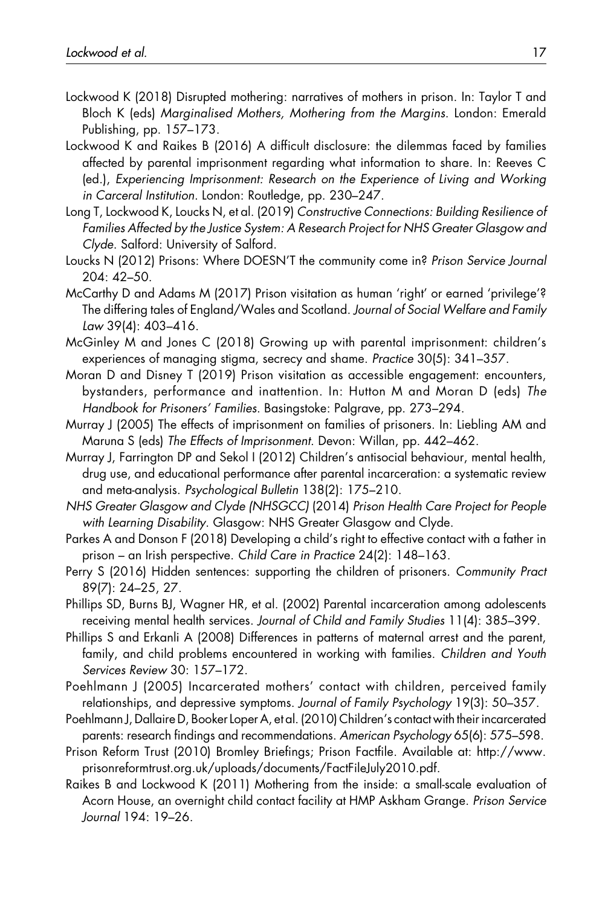- Lockwood K (2018) Disrupted mothering: narratives of mothers in prison. In: Taylor T and Bloch K (eds) Marginalised Mothers, Mothering from the Margins. London: Emerald Publishing, pp. 157–173.
- Lockwood K and Raikes B (2016) A difficult disclosure: the dilemmas faced by families affected by parental imprisonment regarding what information to share. In: Reeves C (ed.), Experiencing Imprisonment: Research on the Experience of Living and Working in Carceral Institution. London: Routledge, pp. 230–247.
- Long T, Lockwood K, Loucks N, et al. (2019) Constructive Connections: Building Resilience of Families Affected by the Justice System: A Research Project for NHS Greater Glasgow and Clyde. Salford: University of Salford.
- Loucks N (2012) Prisons: Where DOESN'T the community come in? Prison Service Journal 204: 42–50.
- McCarthy D and Adams M (2017) Prison visitation as human 'right' or earned 'privilege'? The differing tales of England/Wales and Scotland. Journal of Social Welfare and Family Law 39(4): 403–416.
- McGinley M and Jones C (2018) Growing up with parental imprisonment: children's experiences of managing stigma, secrecy and shame. Practice 30(5): 341–357.
- Moran D and Disney T (2019) Prison visitation as accessible engagement: encounters, bystanders, performance and inattention. In: Hutton M and Moran D (eds) The Handbook for Prisoners' Families. Basingstoke: Palgrave, pp. 273–294.
- Murray J (2005) The effects of imprisonment on families of prisoners. In: Liebling AM and Maruna S (eds) The Effects of Imprisonment. Devon: Willan, pp. 442–462.
- Murray J, Farrington DP and Sekol I (2012) Children's antisocial behaviour, mental health, drug use, and educational performance after parental incarceration: a systematic review and meta-analysis. Psychological Bulletin 138(2): 175–210.
- NHS Greater Glasgow and Clyde (NHSGCC) (2014) Prison Health Care Project for People with Learning Disability. Glasgow: NHS Greater Glasgow and Clyde.
- Parkes A and Donson F (2018) Developing a child's right to effective contact with a father in prison – an Irish perspective. Child Care in Practice 24(2): 148–163.
- Perry S (2016) Hidden sentences: supporting the children of prisoners. Community Pract 89(7): 24–25, 27.
- Phillips SD, Burns BJ, Wagner HR, et al. (2002) Parental incarceration among adolescents receiving mental health services. Journal of Child and Family Studies 11(4): 385–399.
- Phillips S and Erkanli A (2008) Differences in patterns of maternal arrest and the parent, family, and child problems encountered in working with families. Children and Youth Services Review 30: 157–172.
- Poehlmann J (2005) Incarcerated mothers' contact with children, perceived family relationships, and depressive symptoms. Journal of Family Psychology 19(3): 50–357.
- Poehlmann J, Dallaire D, Booker Loper A, et al. (2010) Children's contact with their incarcerated parents: research findings and recommendations. American Psychology 65(6): 575–598.
- Prison Reform Trust (2010) Bromley Briefings; Prison Factfile. Available at: [http://www.](http://www.prisonreformtrust.org.uk/uploads/documents/FactFileJuly2010.pdf) [prisonreformtrust.org.uk/uploads/documents/FactFileJuly2010.pdf.](http://www.prisonreformtrust.org.uk/uploads/documents/FactFileJuly2010.pdf)
- Raikes B and Lockwood K (2011) Mothering from the inside: a small-scale evaluation of Acorn House, an overnight child contact facility at HMP Askham Grange. Prison Service Journal 194: 19–26.